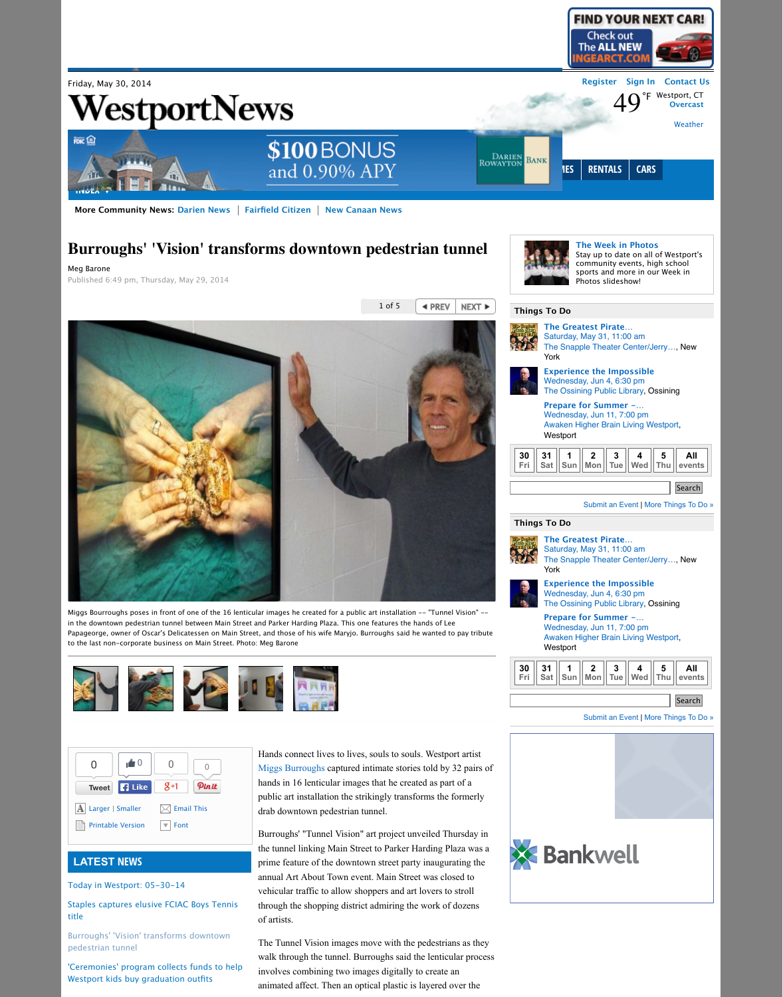

## **LATEST NEWS**

[Today in Westport: 05-30-14](http://www.westport-news.com/news/article/Today-in-Westport-05-30-14-5515646.php)

[Staples captures elusive FCIAC Boys Tennis](http://www.westport-news.com/sports/article/Staples-captures-elusive-FCIAC-Boys-Tennis-title-5514948.php) title

[Burroughs' 'Vision' transforms downtown](http://www.westport-news.com/news/article/Burroughs-Vision-transforms-downtown-5514531.php) pedestrian tunnel

['Ceremonies' program collects funds to help](http://www.westport-news.com/news/article/Ceremonies-program-collects-funds-to-help-5514297.php) Westport kids buy graduation outfits

## **Burroughs' 'Vision' transforms downtown pedestrian tunnel**

Miggs Bourroughs poses in front of one of the 16 lenticular images he created for a public art installation -- "Tunnel Vision" -in the downtown pedestrian tunnel between Main Street and Parker Harding Plaza. This one features the hands of Lee Papageorge, owner of Oscar's Delicatessen on Main Street, and those of his wife Maryjo. Burroughs said he wanted to pay tribute to the last non-corporate business on Main Street. Photo: Meg Barone



Meg Barone Published 6:49 pm, Thursday, May 29, 2014

> Hands connect lives to lives, souls to souls. Westport artist [Miggs Burroughs](http://www.westport-news.com/?controllerName=search&action=search&channel=news&search=1&inlineLink=1&query=%22Miggs+Burroughs%22) captured intimate stories told by 32 pairs of hands in 16 lenticular images that he created as part of a public art installation the strikingly transforms the formerly drab downtown pedestrian tunnel.

Burroughs' "Tunnel Vision" art project unveiled Thursday in the tunnel linking Main Street to Parker Harding Plaza was a prime feature of the downtown street party inaugurating the annual Art About Town event. Main Street was closed to vehicular traffic to allow shoppers and art lovers to stroll through the shopping district admiring the work of dozens of artists.



## **More Community News: [Darien News](http://www.dariennewsonline.com/)** | [Fairfield Citizen](http://www.fairfieldcitizenonline.com/) | [New Canaan News](http://www.newcanaannewsonline.com/)



The Tunnel Vision images move with the pedestrians as they walk through the tunnel. Burroughs said the lenticular process involves combining two images digitally to create an animated affect. Then an optical plastic is layered over the